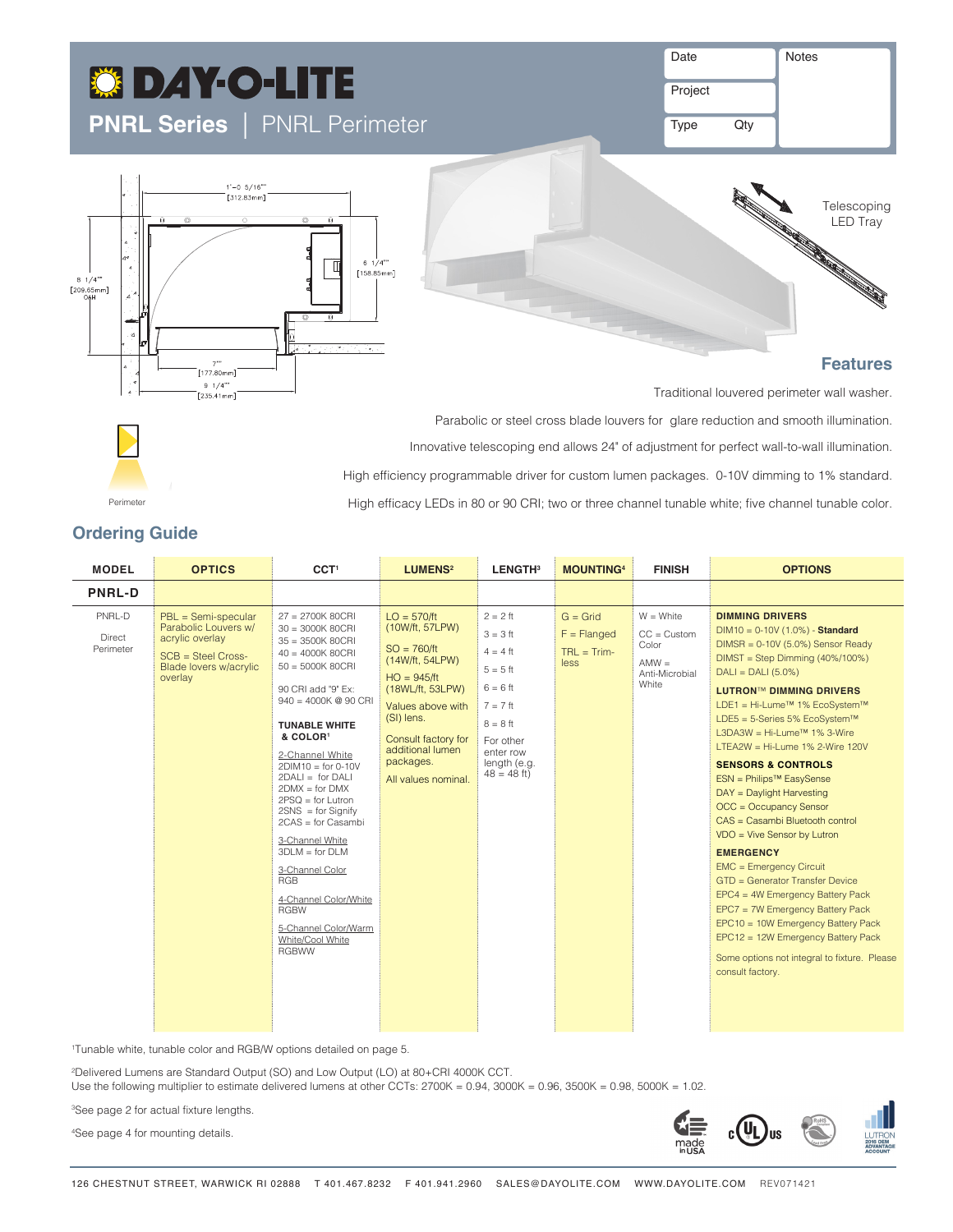# **C DAY-O-LITE PNRL Series** |PNRL Perimeter

1'-0 5/16""<br>[312.83mm]

 $\Box$  Indirect Asymmetric  $\Box$  Indirect Asymmetric  $\Box$ 

 $5 \frac{1}{4}$  $[158.85mm]$ 

| Date | <b>Notes</b> |
|------|--------------|
|      |              |

Project

Type Qty

Parabolic or steel cross blade louvers for glare reduction and smooth illumination. Innovative telescoping end allows 24" of adjustment for perfect wall-to-wall illumination.

High efficiency programmable driver for custom lumen packages. 0-10V dimming to 1% standard.

High efficacy LEDs in 80 or 90 CRI; two or three channel tunable white; five channel tunable color.



# **Features**

Traditional louvered perimeter wall washer.



Direct Indirect

 $8 \frac{1}{4}$ [209.65mm]

 $\Box$  Indirect  $\Box$  Indirect  $\Box$  Indirect  $\Box$  Indirect  $\Box$  Indirect  $\Box$  Indirect  $\Box$  Indirect  $\Box$  Indirect  $\Box$  Indirect  $\Box$  Indirect  $\Box$  Indirect  $\Box$  Indirect  $\Box$  Indirect  $\Box$  Indirect  $\Box$  Indirect  $\Box$  Indire

""7"<br>|177.80mm|  $9 \t1/4'''$ <br>[235.41mm]

Perimeter

# **Ordering Guide**

| <b>MODEL</b>                         | <b>OPTICS</b>                                                                                                                 | CCT <sup>1</sup>                                                                                                                                                                                                                                                                                                                                                                                                                                                                                                                           | LUMENS <sup>2</sup>                                                                                                                                                                                                         | LENGTH <sup>3</sup>                                                                                                                                       | <b>MOUNTING4</b>                                     | <b>FINISH</b>                                                                 | <b>OPTIONS</b>                                                                                                                                                                                                                                                                                                                                                                                                                                                                                                                                                                                                                                                                                                                                                                                                                                                               |
|--------------------------------------|-------------------------------------------------------------------------------------------------------------------------------|--------------------------------------------------------------------------------------------------------------------------------------------------------------------------------------------------------------------------------------------------------------------------------------------------------------------------------------------------------------------------------------------------------------------------------------------------------------------------------------------------------------------------------------------|-----------------------------------------------------------------------------------------------------------------------------------------------------------------------------------------------------------------------------|-----------------------------------------------------------------------------------------------------------------------------------------------------------|------------------------------------------------------|-------------------------------------------------------------------------------|------------------------------------------------------------------------------------------------------------------------------------------------------------------------------------------------------------------------------------------------------------------------------------------------------------------------------------------------------------------------------------------------------------------------------------------------------------------------------------------------------------------------------------------------------------------------------------------------------------------------------------------------------------------------------------------------------------------------------------------------------------------------------------------------------------------------------------------------------------------------------|
| <b>PNRL-D</b>                        |                                                                                                                               |                                                                                                                                                                                                                                                                                                                                                                                                                                                                                                                                            |                                                                                                                                                                                                                             |                                                                                                                                                           |                                                      |                                                                               |                                                                                                                                                                                                                                                                                                                                                                                                                                                                                                                                                                                                                                                                                                                                                                                                                                                                              |
| PNRL-D<br><b>Direct</b><br>Perimeter | $PBL =$ Semi-specular<br>Parabolic Louvers w/<br>acrylic overlay<br>$SCB = Steel Cross-$<br>Blade lovers w/acrylic<br>overlay | 27 = 2700K 80CRI<br>$30 = 3000K 80CRI$<br>$35 = 3500K 80CRI$<br>$40 = 4000K 80CRI$<br>$50 = 5000K 80CRI$<br>90 CRI add "9" Ex:<br>$940 = 4000K$ @ 90 CRI<br><b>TUNABLE WHITE</b><br>& COLOR <sup>1</sup><br>2-Channel White<br>$2DIM10 = for 0-10V$<br>$2DALI = for DALI$<br>$2$ DMX = for DMX<br>$2PSQ = for Lutron$<br>$2SNS = for Signify$<br>$2CAS = for Casambi$<br>3-Channel White<br>$3DLM = for DLM$<br>3-Channel Color<br>RGB<br>4-Channel Color/White<br><b>RGBW</b><br>5-Channel Color/Warm<br>White/Cool White<br><b>RGBWW</b> | $LO = 570/ft$<br>(10W/ft, 57LPW)<br>$SO = 760/ft$<br>(14W/ft, 54LPW)<br>$HO = 945/ft$<br>(18WL/ft, 53LPW)<br>Values above with<br>(SI) lens.<br>Consult factory for<br>additional lumen<br>packages.<br>All values nominal. | $2 = 2$ ft<br>$3 = 3$ ft<br>$4 = 4$ ft<br>$5 = 5$ ft<br>$6 = 6$ ft<br>$7 = 7$ ft<br>$8 = 8$ ft<br>For other<br>enter row<br>length (e.g.<br>$48 = 48$ ft) | $G =$ Grid<br>$F = Flanged$<br>$TRL = Trim-$<br>less | $W = White$<br>$CC = Customer$<br>Color<br>$AMW =$<br>Anti-Microbial<br>White | <b>DIMMING DRIVERS</b><br>$DIM10 = 0-10V(1.0%) - Standard$<br>$DIMSR = 0-10V (5.0%)$ Sensor Ready<br>$DIMST = Step Dimming (40\%/100\%)$<br>$DALI = DALI (5.0%)$<br><b>LUTRON™ DIMMING DRIVERS</b><br>LDE1 = Hi-Lume <sup>™</sup> 1% EcoSystem™<br>LDE5 = 5-Series 5% EcoSystem™<br>L3DA3W = Hi-Lume™ 1% 3-Wire<br>LTEA2W = Hi-Lume $1\%$ 2-Wire $120V$<br><b>SENSORS &amp; CONTROLS</b><br>ESN = Philips <sup>™</sup> EasySense<br>DAY = Daylight Harvesting<br>OCC = Occupancy Sensor<br>CAS = Casambi Bluetooth control<br>$VDO = Vive Sensor by Lutron$<br><b>EMERGENCY</b><br><b>EMC = Emergency Circuit</b><br>GTD = Generator Transfer Device<br>EPC4 = 4W Emergency Battery Pack<br>EPC7 = 7W Emergency Battery Pack<br>EPC10 = 10W Emergency Battery Pack<br>EPC12 = 12W Emergency Battery Pack<br>Some options not integral to fixture. Please<br>consult factory. |

1 Tunable white, tunable color and RGB/W options detailed on page 5. **CS** = Concealed **EX** = Exposed

2 Delivered Lumens are Standard Output (SO) and Low Output (LO) at 80+CRI 4000K CCT.

Use the following multiplier to estimate delivered lumens at other CCTs: 2700K = 0.94, 3000K = 0.96, 3500K = 0.98, 5000K = 1.02.

3 See page 2 for actual fixture lengths.

4 See page 4 for mounting details.

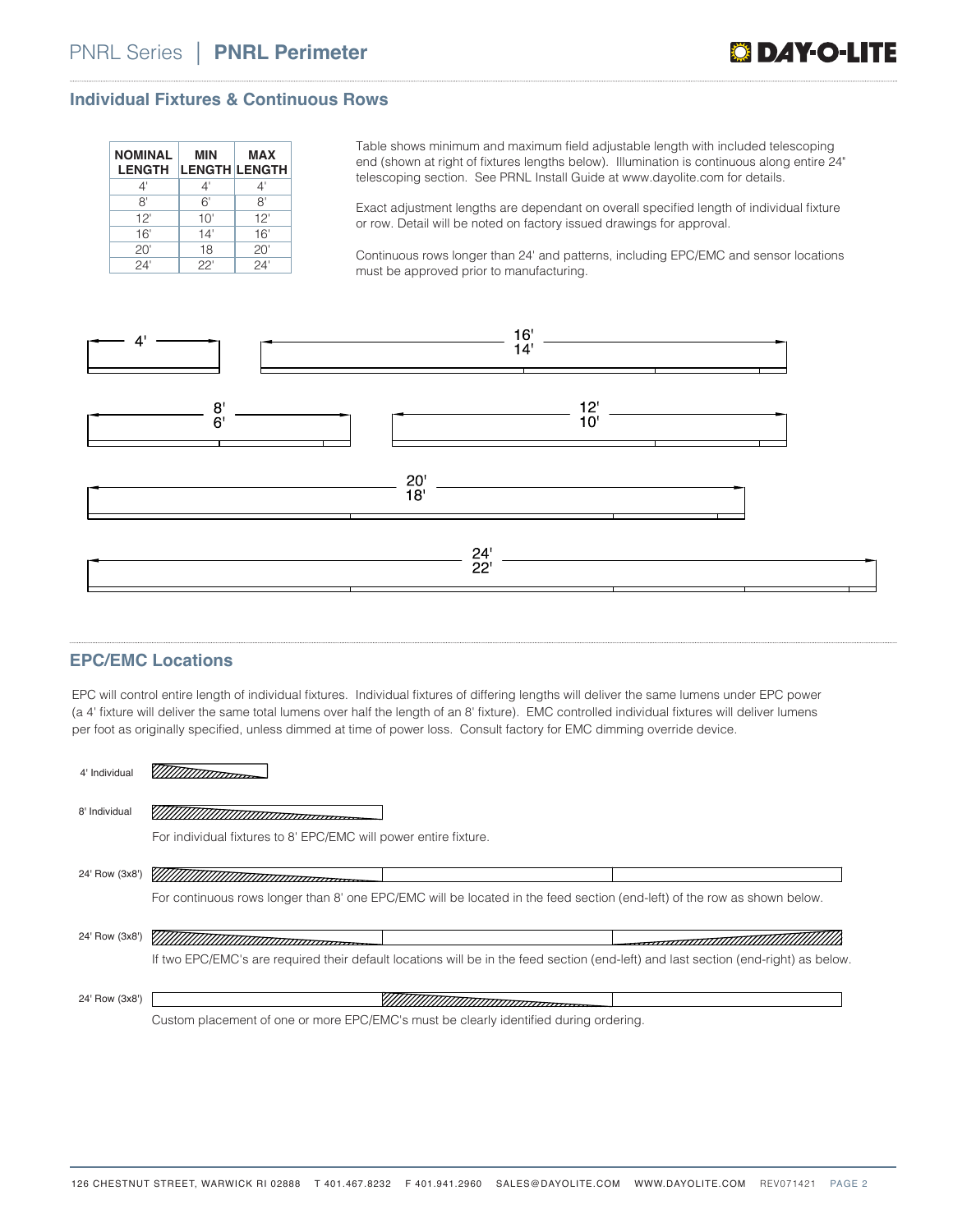#### **Individual Fixtures & Continuous Rows**

| <b>NOMINAL</b><br><b>LENGTH</b> | MIN<br><b>LENGTH LENGTH</b> | <b>MAX</b> |
|---------------------------------|-----------------------------|------------|
| 4'                              | 4'                          | 4'         |
| 8'                              | 6'                          | 8'         |
| 12'                             | 10'                         | 12'        |
| 16'                             | 14'                         | 16'        |
| 20'                             | 18                          | 20'        |
| 24'                             | 22'                         | 24'        |

Table shows minimum and maximum field adjustable length with included telescoping end (shown at right of fixtures lengths below). Illumination is continuous along entire 24" telescoping section. See PRNL Install Guide at www.dayolite.com for details.

Exact adjustment lengths are dependant on overall specified length of individual fixture or row. Detail will be noted on factory issued drawings for approval.

Continuous rows longer than 24' and patterns, including EPC/EMC and sensor locations must be approved prior to manufacturing.



#### **EPC/EMC Locations**

EPC will control entire length of individual fixtures. Individual fixtures of differing lengths will deliver the same lumens under EPC power (a 4' fixture will deliver the same total lumens over half the length of an 8' fixture). EMC controlled individual fixtures will deliver lumens per foot as originally specified, unless dimmed at time of power loss. Consult factory for EMC dimming override device.

| 8' Individual                                                                                                                       |  |
|-------------------------------------------------------------------------------------------------------------------------------------|--|
| For individual fixtures to 8' EPC/EMC will power entire fixture.                                                                    |  |
| 24' Row (3x8')                                                                                                                      |  |
| For continuous rows longer than 8' one EPC/EMC will be located in the feed section (end-left) of the row as shown below.            |  |
| 24' Row (3x8')                                                                                                                      |  |
| If two EPC/EMC's are required their default locations will be in the feed section (end-left) and last section (end-right) as below. |  |
| 24' Row (3x8')                                                                                                                      |  |
| Custom placement of one or more EPC/EMC's must be clearly identified during ordering                                                |  |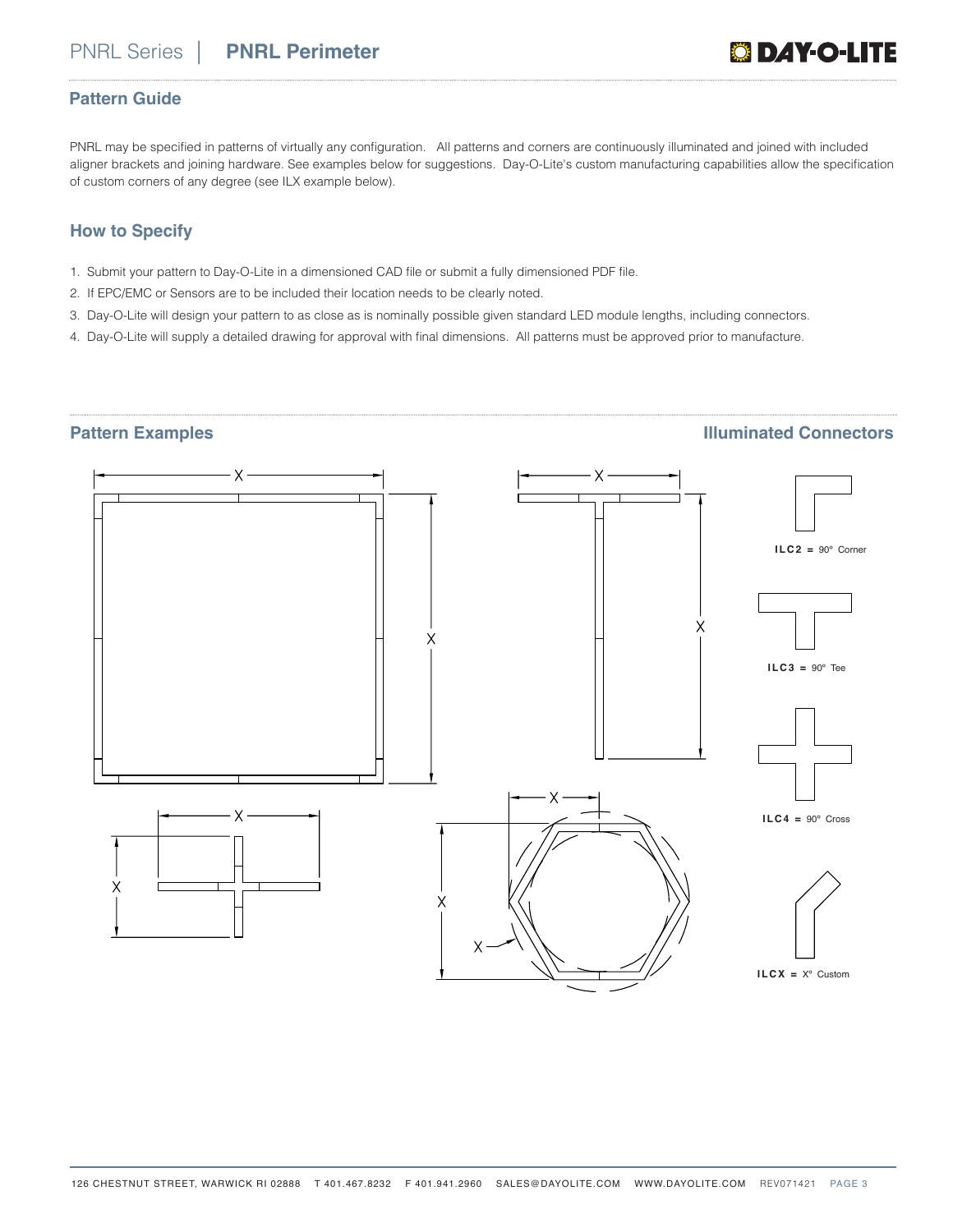### **Pattern Guide**

PNRL may be specified in patterns of virtually any configuration. All patterns and corners are continuously illuminated and joined with included aligner brackets and joining hardware. See examples below for suggestions. Day-O-Lite's custom manufacturing capabilities allow the specification of custom corners of any degree (see ILX example below).

## **How to Specify**

- 1. Submit your pattern to Day-O-Lite in a dimensioned CAD file or submit a fully dimensioned PDF file.
- 2. If EPC/EMC or Sensors are to be included their location needs to be clearly noted.
- 3. Day-O-Lite will design your pattern to as close as is nominally possible given standard LED module lengths, including connectors.
- 4. Day-O-Lite will supply a detailed drawing for approval with final dimensions. All patterns must be approved prior to manufacture.

### **Pattern Examples Illuminated Connectors**

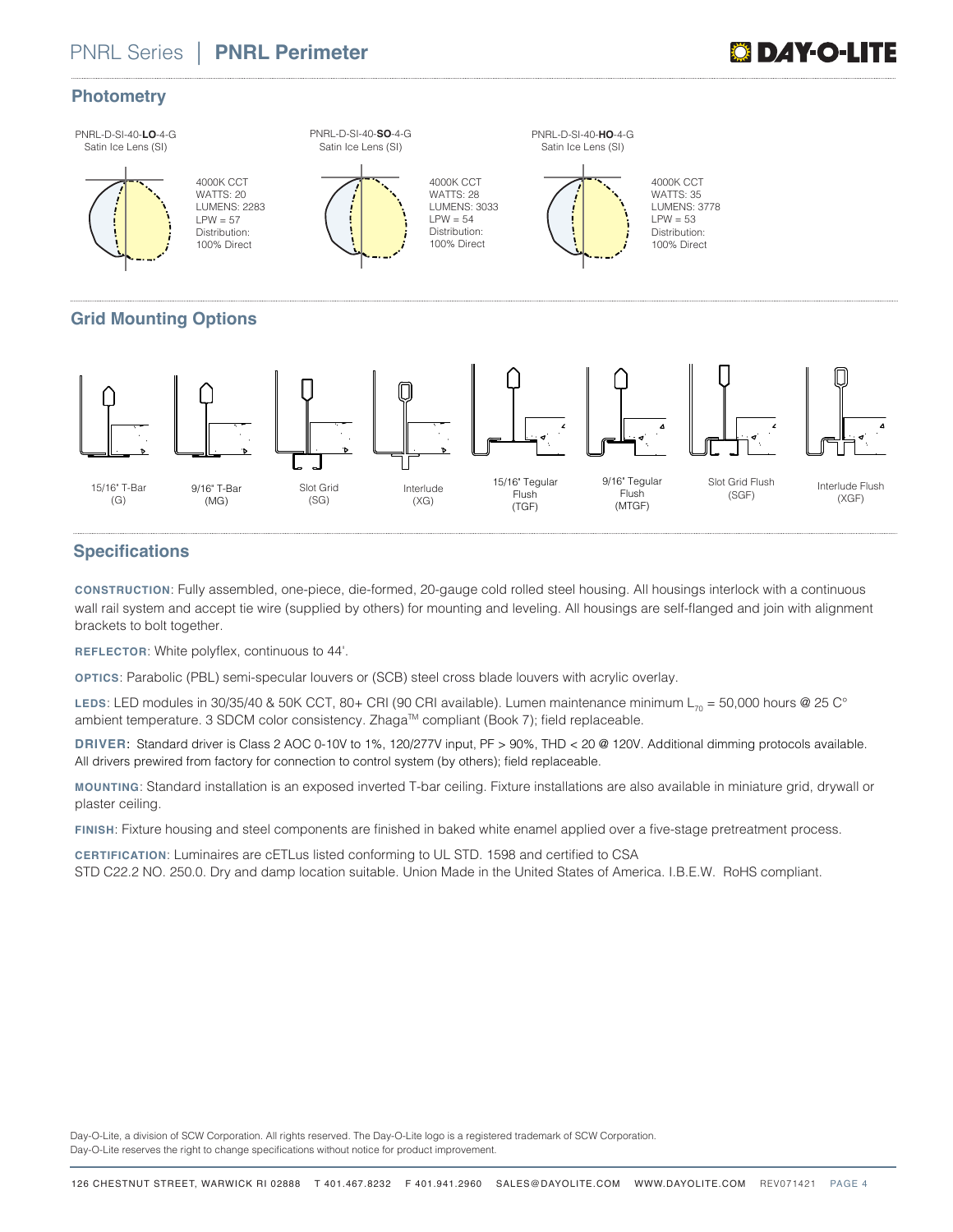# PNRL Series| **PNRL Perimeter**

# **DAY-0-L**

### **Photometry**

PNRL-D-SI-40-**LO**-4-G Satin Ice Lens (SI)

4000K CCT WATTS: 20 LUMENS: 2283  $IPW = 57$ Distribution: 100% Direct

PNRL-D-SI-40-**SO**-4-G Satin Ice Lens (SI)



4000K CCT WATTS: 28 LUMENS: 3033  $IPW = 54$ Distribution: 100% Direct



PNRL-D-SI-40-**HO**-4-G Satin Ice Lens (SI)

> 4000K CCT WATTS: 35 LUMENS: 3778  $IPW = 53$ Distribution: 100% Direct

# **Grid Mounting Options**



# **Specifications**

**CONSTRUCTION**: Fully assembled, one-piece, die-formed, 20-gauge cold rolled steel housing. All housings interlock with a continuous wall rail system and accept tie wire (supplied by others) for mounting and leveling. All housings are self-flanged and join with alignment brackets to bolt together.

**REFLECTOR**: White polyflex, continuous to 44'.

**OPTICS**: Parabolic (PBL) semi-specular louvers or (SCB) steel cross blade louvers with acrylic overlay.

LEDS: LED modules in 30/35/40 & 50K CCT, 80+ CRI (90 CRI available). Lumen maintenance minimum L<sub>70</sub> = 50,000 hours @ 25 C° ambient temperature. 3 SDCM color consistency. Zhaga™ compliant (Book 7); field replaceable.

**DRIVER**: Standard driver is Class 2 AOC 0-10V to 1%, 120/277V input, PF > 90%, THD < 20 @ 120V. Additional dimming protocols available. All drivers prewired from factory for connection to control system (by others); field replaceable.

**MOUNTING**: Standard installation is an exposed inverted T-bar ceiling. Fixture installations are also available in miniature grid, drywall or plaster ceiling.

**FINISH**: Fixture housing and steel components are finished in baked white enamel applied over a five-stage pretreatment process.

**CERTIFICATION**: Luminaires are cETLus listed conforming to UL STD. 1598 and certified to CSA STD C22.2 NO. 250.0. Dry and damp location suitable. Union Made in the United States of America. I.B.E.W. RoHS compliant.

Day-O-Lite, a division of SCW Corporation. All rights reserved. The Day-O-Lite logo is a registered trademark of SCW Corporation. Day-O-Lite reserves the right to change specifications without notice for product improvement.